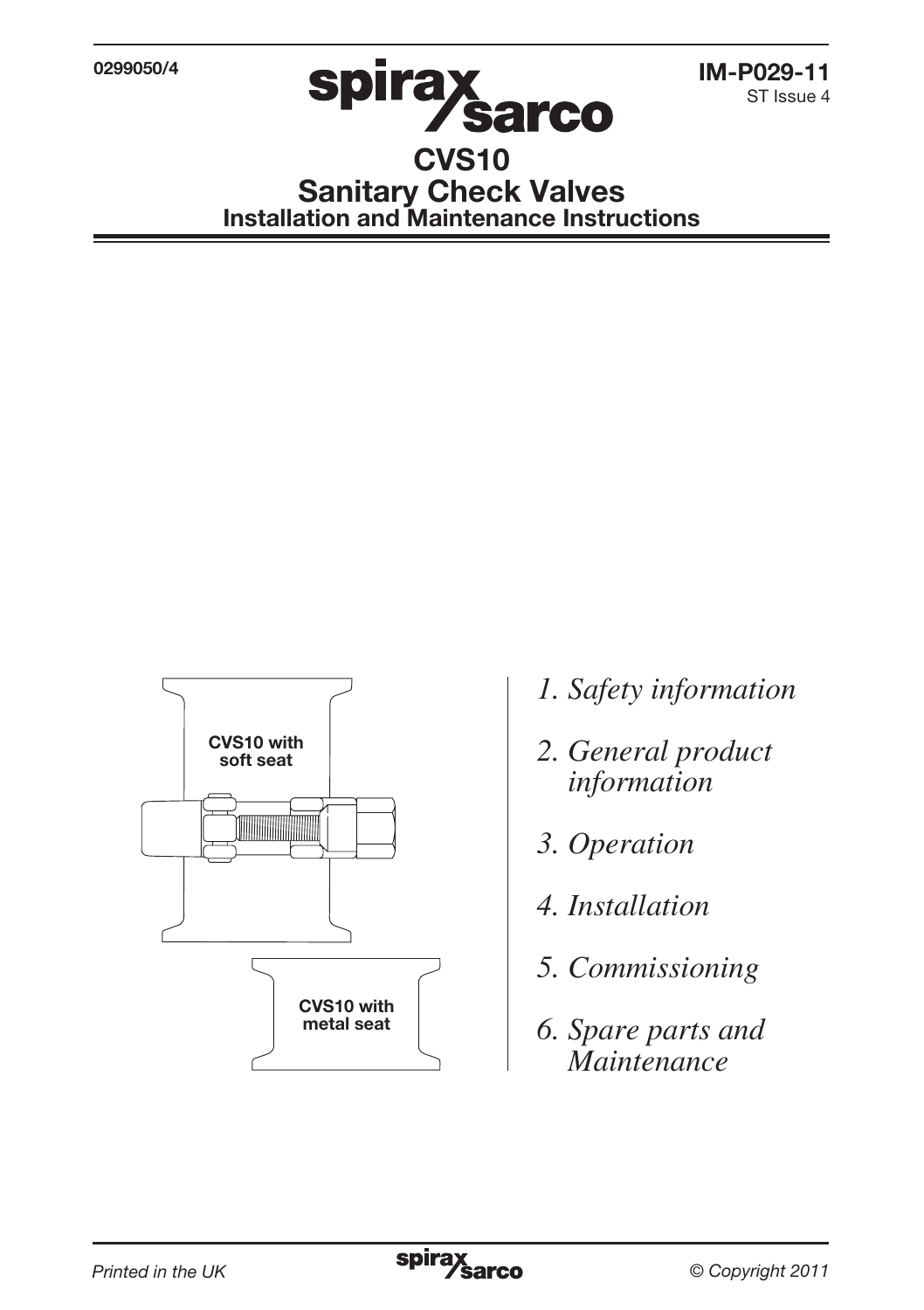0299050/4



ST Issue 4

# CVS10 Sanitary Check Valves Installation and Maintenance Instructions



- *1. Safety information*
- *2. General product information*
- *3. Operation*
- *4. Installation*
- *5. Commissioning*
- *6. Spare parts and Maintenance*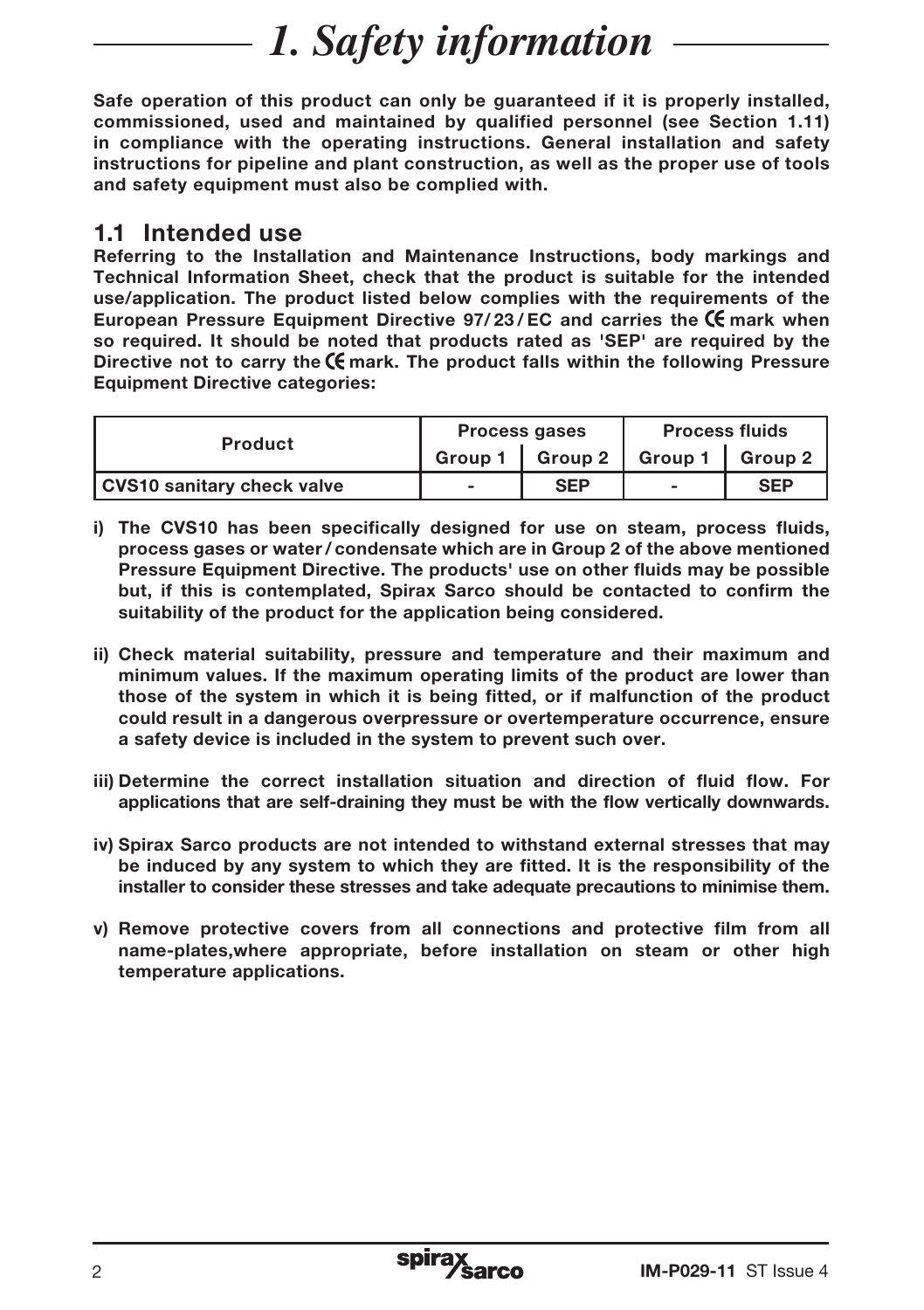# *1. Safety information*

Safe operation of this product can only be guaranteed if it is properly installed, commissioned, used and maintained by qualified personnel (see Section 1.11) in compliance with the operating instructions. General installation and safety instructions for pipeline and plant construction, as well as the proper use of tools and safety equipment must also be complied with.

#### 1.1 Intended use

Referring to the Installation and Maintenance Instructions, body markings and Technical Information Sheet, check that the product is suitable for the intended use/application. The product listed below complies with the requirements of the European Pressure Equipment Directive  $97/23/EC$  and carries the  $\mathsf{\acute{C}}$  mark when so required. It should be noted that products rated as 'SEP' are required by the Directive not to carry the  $\mathsf C$  mark. The product falls within the following Pressure Equipment Directive categories:

| <b>Product</b>             |                | <b>Process gases</b>        | <b>Process fluids</b> |            |
|----------------------------|----------------|-----------------------------|-----------------------|------------|
|                            |                | Group 1   Group 2   Group 1 |                       | Group 2    |
| CVS10 sanitary check valve | $\blacksquare$ | <b>SEP</b>                  | -                     | <b>SEP</b> |

- i) The CVS10 has been specifically designed for use on steam, process fluids, process gases or water/ condensate which are in Group 2 of the above mentioned Pressure Equipment Directive. The products' use on other fluids may be possible but, if this is contemplated, Spirax Sarco should be contacted to confirm the suitability of the product for the application being considered.
- ii) Check material suitability, pressure and temperature and their maximum and minimum values. If the maximum operating limits of the product are lower than those of the system in which it is being fitted, or if malfunction of the product could result in a dangerous overpressure or overtemperature occurrence, ensure a safety device is included in the system to prevent such over.
- iii) Determine the correct installation situation and direction of fluid flow. For applications that are self-draining they must be with the flow vertically downwards.
- iv) Spirax Sarco products are not intended to withstand external stresses that may be induced by any system to which they are fitted. It is the responsibility of the installer to consider these stresses and take adequate precautions to minimise them.
- v) Remove protective covers from all connections and protective film from all name-plates,where appropriate, before installation on steam or other high temperature applications.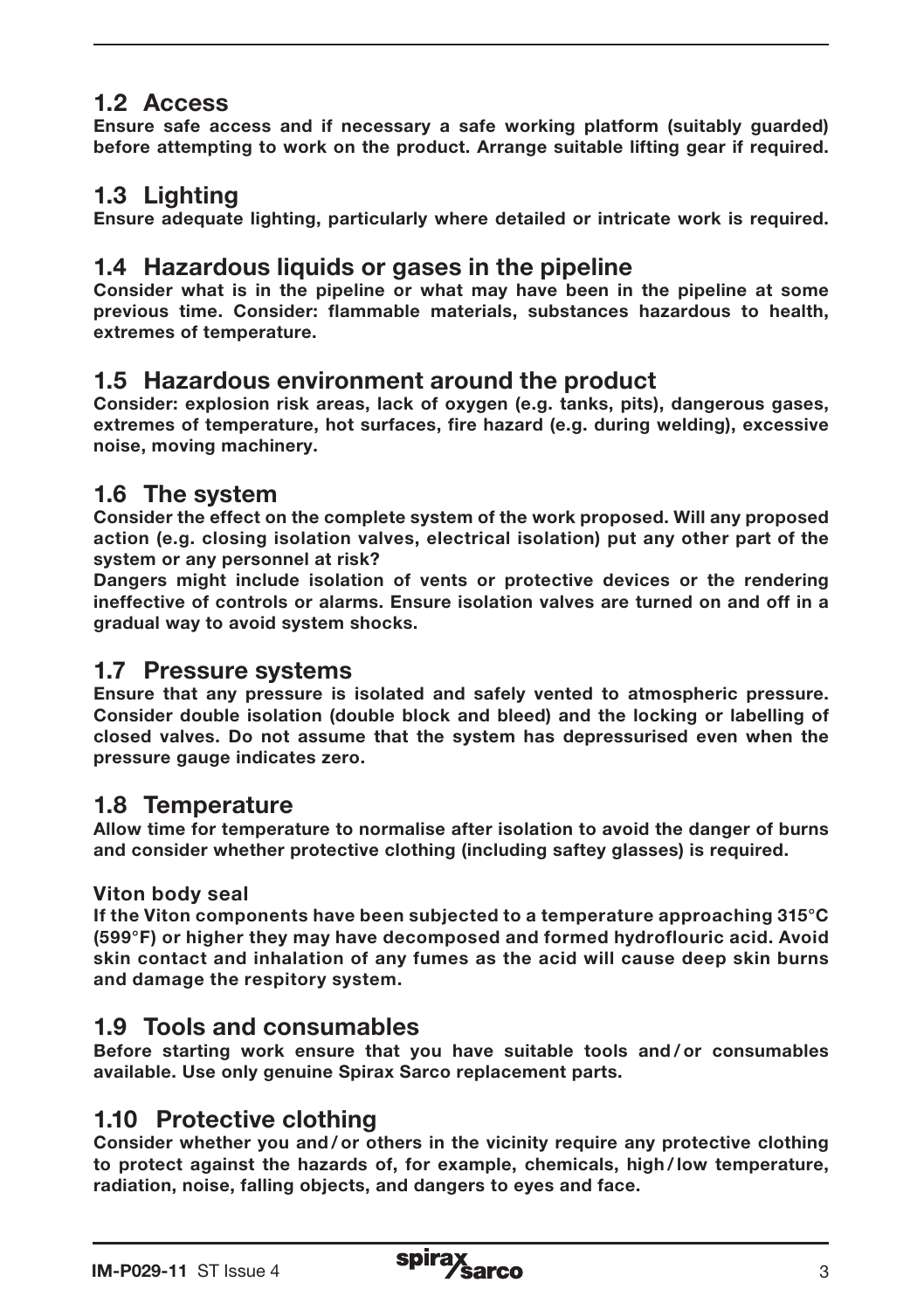## 1.2 Access

Ensure safe access and if necessary a safe working platform (suitably guarded) before attempting to work on the product. Arrange suitable lifting gear if required.

### 1.3 Lighting

Ensure adequate lighting, particularly where detailed or intricate work is required.

#### 1.4 Hazardous liquids or gases in the pipeline

Consider what is in the pipeline or what may have been in the pipeline at some previous time. Consider: flammable materials, substances hazardous to health, extremes of temperature.

#### 1.5 Hazardous environment around the product

Consider: explosion risk areas, lack of oxygen (e.g. tanks, pits), dangerous gases, extremes of temperature, hot surfaces, fire hazard (e.g. during welding), excessive noise, moving machinery.

#### 1.6 The system

Consider the effect on the complete system of the work proposed. Will any proposed action (e.g. closing isolation valves, electrical isolation) put any other part of the system or any personnel at risk?

Dangers might include isolation of vents or protective devices or the rendering ineffective of controls or alarms. Ensure isolation valves are turned on and off in a gradual way to avoid system shocks.

#### 1.7 Pressure systems

Ensure that any pressure is isolated and safely vented to atmospheric pressure. Consider double isolation (double block and bleed) and the locking or labelling of closed valves. Do not assume that the system has depressurised even when the pressure gauge indicates zero.

#### 1.8 Temperature

Allow time for temperature to normalise after isolation to avoid the danger of burns and consider whether protective clothing (including saftey glasses) is required.

#### Viton body seal

If the Viton components have been subjected to a temperature approaching 315°C (599°F) or higher they may have decomposed and formed hydroflouric acid. Avoid skin contact and inhalation of any fumes as the acid will cause deep skin burns and damage the respitory system.

#### 1.9 Tools and consumables

Before starting work ensure that you have suitable tools and / or consumables available. Use only genuine Spirax Sarco replacement parts.

#### 1.10 Protective clothing

Consider whether you and / or others in the vicinity require any protective clothing to protect against the hazards of, for example, chemicals, high /low temperature, radiation, noise, falling objects, and dangers to eyes and face.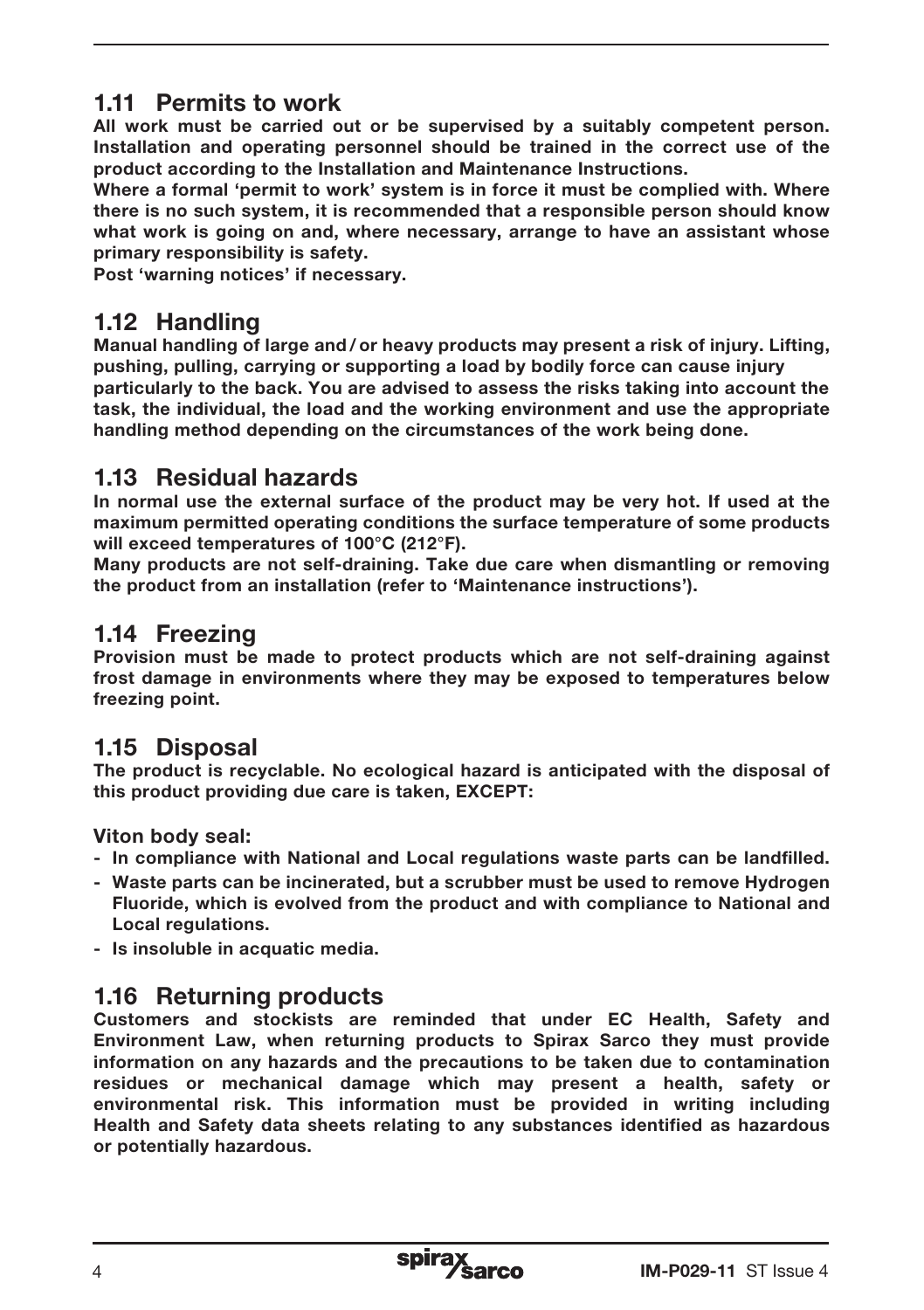## 1.11 Permits to work

All work must be carried out or be supervised by a suitably competent person. Installation and operating personnel should be trained in the correct use of the product according to the Installation and Maintenance Instructions.

Where a formal 'permit to work' system is in force it must be complied with. Where there is no such system, it is recommended that a responsible person should know what work is going on and, where necessary, arrange to have an assistant whose primary responsibility is safety.

Post 'warning notices' if necessary.

## 1.12 Handling

Manual handling of large and / or heavy products may present a risk of injury. Lifting, pushing, pulling, carrying or supporting a load by bodily force can cause injury particularly to the back. You are advised to assess the risks taking into account the task, the individual, the load and the working environment and use the appropriate handling method depending on the circumstances of the work being done.

## 1.13 Residual hazards

In normal use the external surface of the product may be very hot. If used at the maximum permitted operating conditions the surface temperature of some products will exceed temperatures of 100°C (212°F).

Many products are not self-draining. Take due care when dismantling or removing the product from an installation (refer to 'Maintenance instructions').

#### 1.14 Freezing

Provision must be made to protect products which are not self-draining against frost damage in environments where they may be exposed to temperatures below freezing point.

## 1.15 Disposal

The product is recyclable. No ecological hazard is anticipated with the disposal of this product providing due care is taken, EXCEPT:

Viton body seal:

- In compliance with National and Local regulations waste parts can be landfilled.
- Waste parts can be incinerated, but a scrubber must be used to remove Hydrogen Fluoride, which is evolved from the product and with compliance to National and Local regulations.
- Is insoluble in acquatic media.

## 1.16 Returning products

Customers and stockists are reminded that under EC Health, Safety and Environment Law, when returning products to Spirax Sarco they must provide information on any hazards and the precautions to be taken due to contamination residues or mechanical damage which may present a health, safety or environmental risk. This information must be provided in writing including Health and Safety data sheets relating to any substances identified as hazardous or potentially hazardous.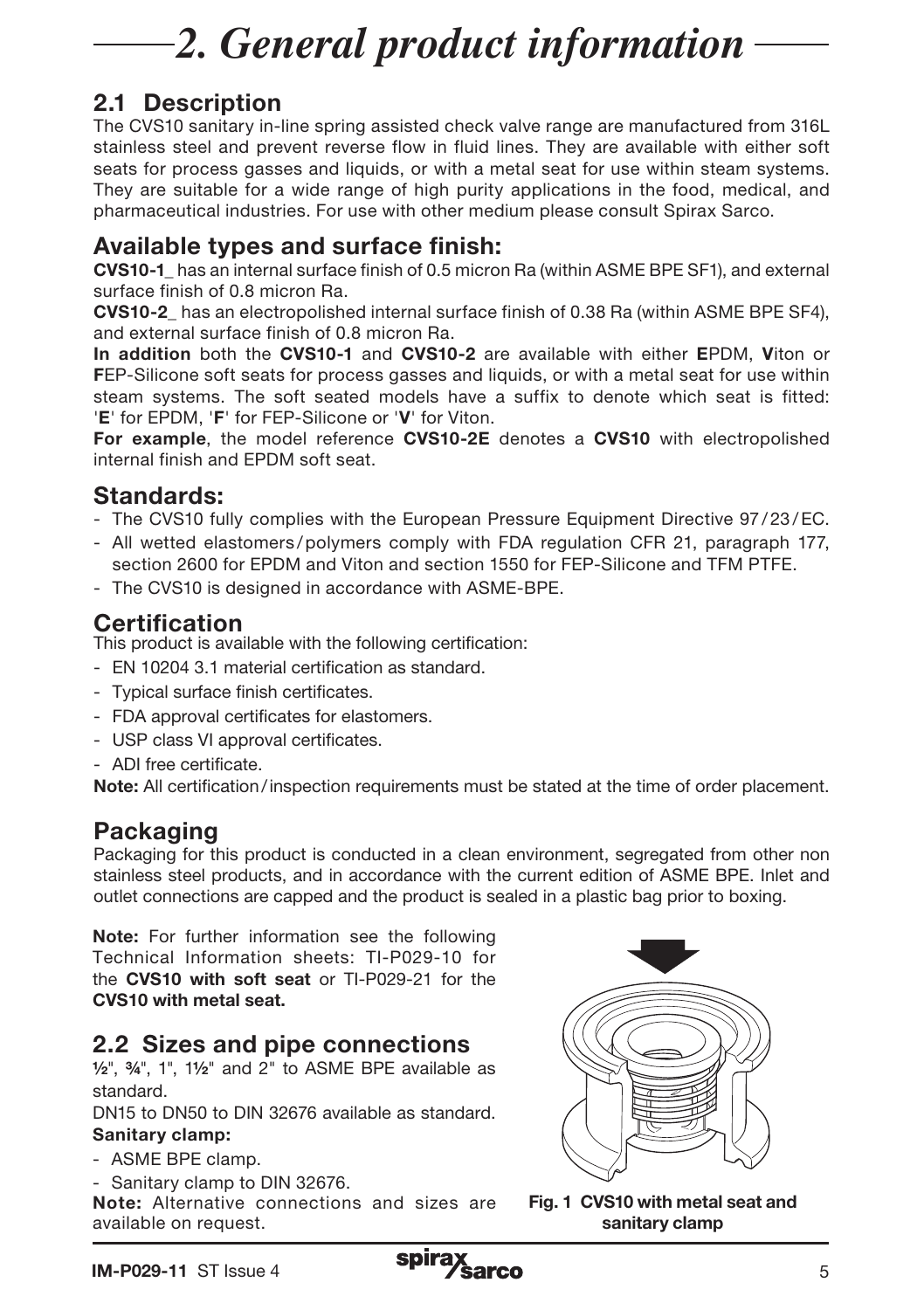# *2. General product information*

# 2.1 Description

The CVS10 sanitary in-line spring assisted check valve range are manufactured from 316L stainless steel and prevent reverse flow in fluid lines. They are available with either soft seats for process gasses and liquids, or with a metal seat for use within steam systems. They are suitable for a wide range of high purity applications in the food, medical, and pharmaceutical industries. For use with other medium please consult Spirax Sarco.

### Available types and surface finish:

CVS10-1\_ has an internal surface finish of 0.5 micron Ra (within ASME BPE SF1), and external surface finish of 0.8 micron Ra.

CVS10-2\_ has an electropolished internal surface finish of 0.38 Ra (within ASME BPE SF4), and external surface finish of 0.8 micron Ra.

In addition both the CVS10-1 and CVS10-2 are available with either EPDM. Viton or FEP-Silicone soft seats for process gasses and liquids, or with a metal seat for use within steam systems. The soft seated models have a suffix to denote which seat is fitted: 'E' for EPDM, 'F' for FEP-Silicone or 'V' for Viton.

For example, the model reference CVS10-2E denotes a CVS10 with electropolished internal finish and EPDM soft seat.

#### Standards:

- The CVS10 fully complies with the European Pressure Equipment Directive 97/23/EC.
- All wetted elastomers /polymers comply with FDA regulation CFR 21, paragraph 177, section 2600 for EPDM and Viton and section 1550 for FEP-Silicone and TFM PTFE.
- The CVS10 is designed in accordance with ASME-BPE.

## Certification

This product is available with the following certification:

- EN 10204 3.1 material certification as standard.
- Typical surface finish certificates.
- FDA approval certificates for elastomers.
- USP class VI approval certificates.
- ADI free certificate.

Note: All certification/inspection requirements must be stated at the time of order placement.

# Packaging

Packaging for this product is conducted in a clean environment, segregated from other non stainless steel products, and in accordance with the current edition of ASME BPE. Inlet and outlet connections are capped and the product is sealed in a plastic bag prior to boxing.

Note: For further information see the following Technical Information sheets: TI-P029-10 for the CVS10 with soft seat or TI-P029-21 for the CVS10 with metal seat.

# 2.2 Sizes and pipe connections

 $1/2$ ",  $3/4$ ",  $1$ ",  $11/2$ " and  $2$ " to ASME BPE available as standard.

DN15 to DN50 to DIN 32676 available as standard.

#### Sanitary clamp:

- ASME BPE clamp.
- Sanitary clamp to DIN 32676.

Note: Alternative connections and sizes are available on request.



Fig. 1 CVS10 with metal seat and sanitary clamp

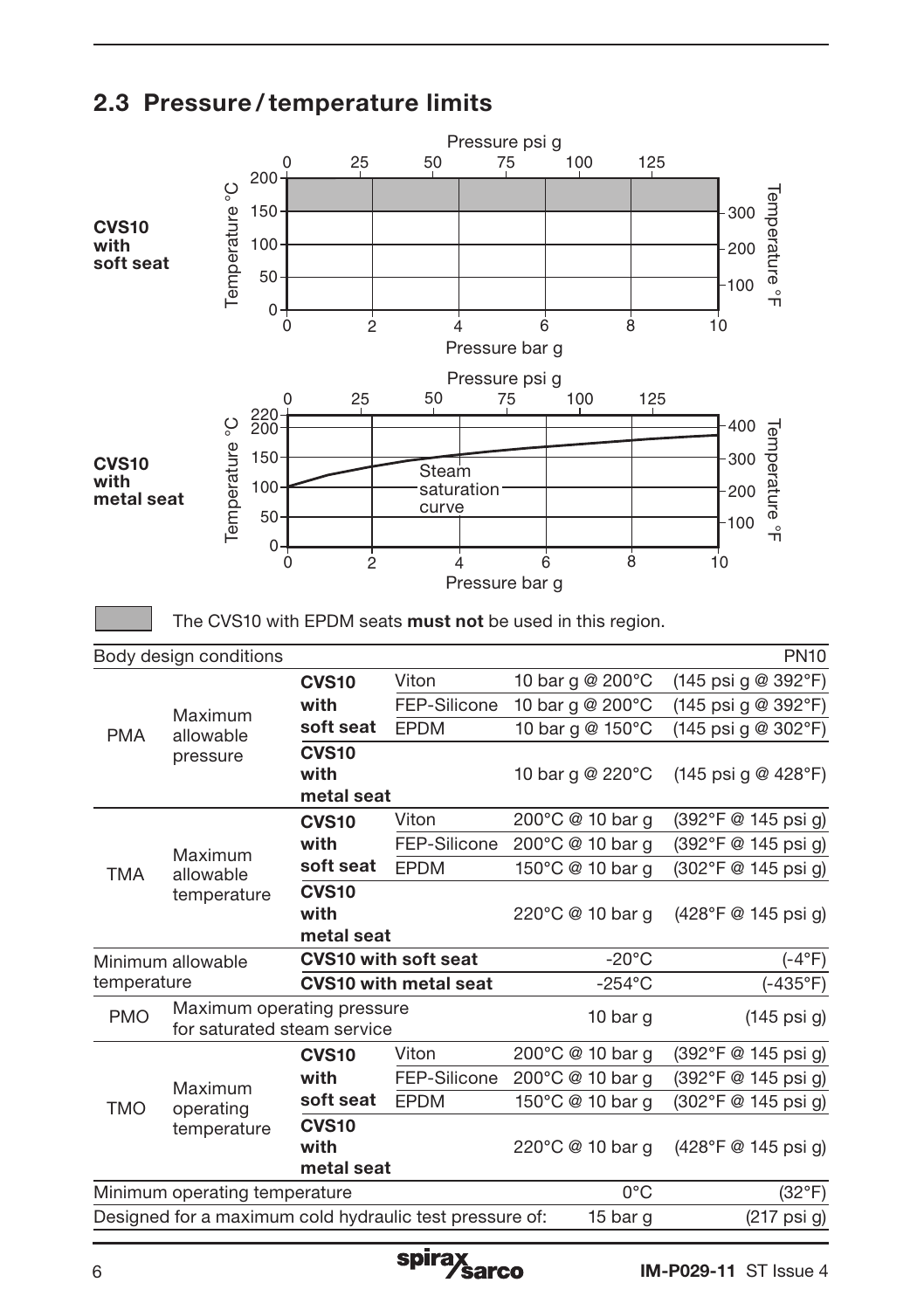

# 2.3 Pressure /temperature limits

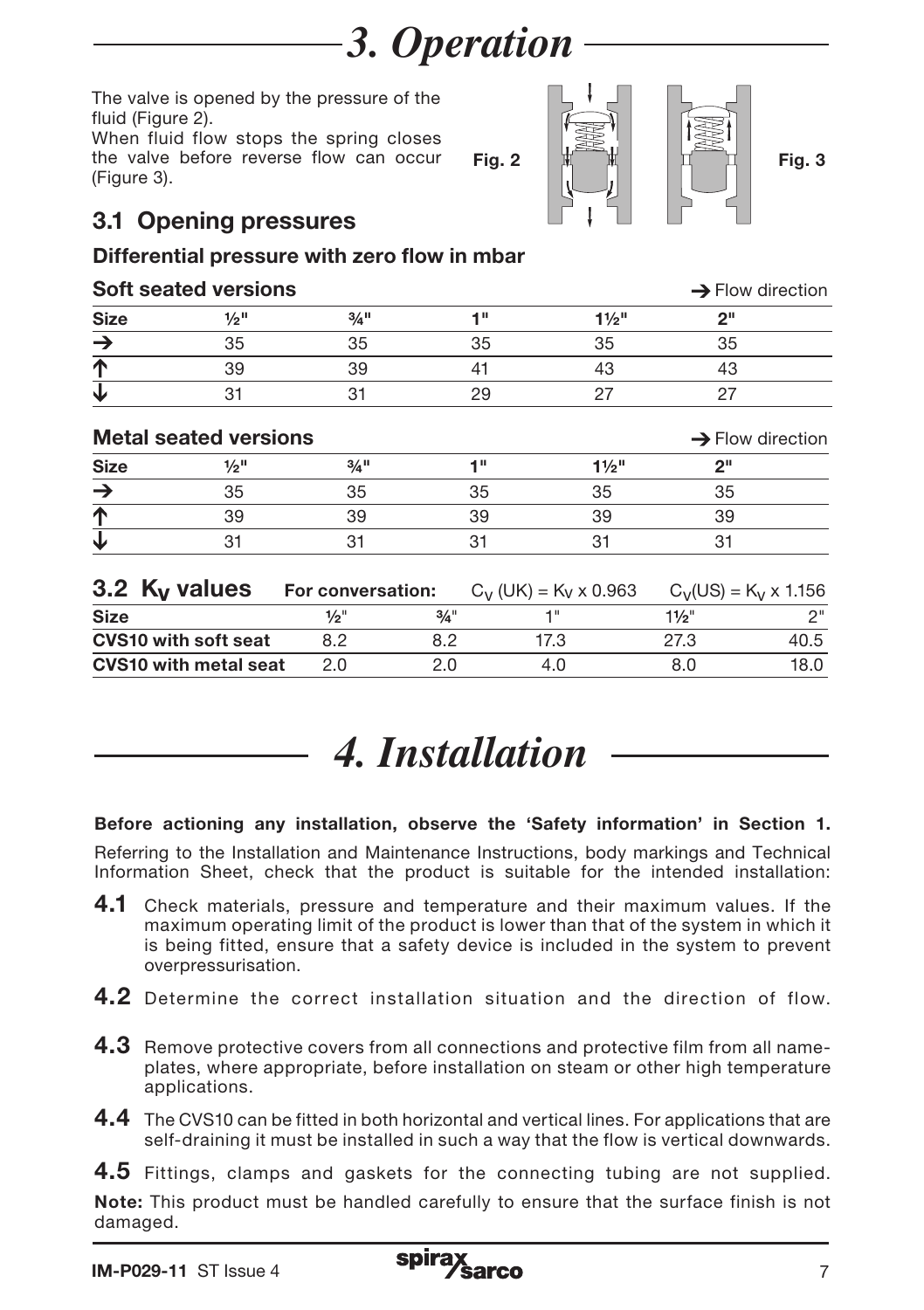*3. Operation*

The valve is opened by the pressure of the fluid (Figure 2).

When fluid flow stops the spring closes the valve before reverse flow can occur (Figure 3).

# 3.1 Opening pressures

#### Differential pressure with zero flow in mbar

#### $\mathbf{Soft}$  seated versions  $\rightarrow$  Flow direction

| <b>Size</b>                  | $\frac{1}{2}$ <sup>11</sup>  | $3/4$ <sup>11</sup> |         | 1"                                  | $1\frac{1}{2}$ " | 2"                           |                              |
|------------------------------|------------------------------|---------------------|---------|-------------------------------------|------------------|------------------------------|------------------------------|
| $\rightarrow$                | 35                           | 35                  |         | 35                                  | 35               | 35                           |                              |
| $\overline{\Upsilon}$        | 39                           | 39                  |         | 41                                  | 43               | 43                           |                              |
| $\overline{\mathbf{V}}$      | 31                           | 31                  |         | 29                                  | 27               | 27                           |                              |
| <b>Metal seated versions</b> |                              |                     |         |                                     |                  |                              | $\rightarrow$ Flow direction |
| <b>Size</b>                  | $1/2$ <sup>11</sup>          | $3/4$ <sup>11</sup> |         | 1"                                  | $1\frac{1}{2}$ " | 2"                           |                              |
| $\rightarrow$                | 35                           | 35                  |         | 35                                  | 35               | 35                           |                              |
| 不す                           | 39                           | 39                  |         | 39                                  | 39               | 39                           |                              |
|                              | 31                           | 31                  |         | 31                                  | 31               | 31                           |                              |
|                              | 3.2 $K_V$ values             | For conversation:   |         | $C_V$ (UK) = K <sub>V</sub> x 0.963 |                  | $C_V(US) = K_V \times 1.156$ |                              |
| <b>Size</b>                  |                              | $\frac{1}{2}$ "     | $3/4$ " | 1"                                  |                  | $11/2$ "                     | 2"                           |
|                              | <b>CVS10 with soft seat</b>  | 8.2                 | 8.2     | 17.3                                |                  | 27.3                         | 40.5                         |
|                              | <b>CVS10 with metal seat</b> | 2.0                 | 2.0     |                                     | 4.0              | 8.0                          | 18.0                         |
|                              |                              |                     |         |                                     |                  |                              |                              |



#### Before actioning any installation, observe the 'Safety information' in Section 1.

Referring to the Installation and Maintenance Instructions, body markings and Technical Information Sheet, check that the product is suitable for the intended installation:

- 4.1 Check materials, pressure and temperature and their maximum values. If the maximum operating limit of the product is lower than that of the system in which it is being fitted, ensure that a safety device is included in the system to prevent overpressurisation.
- **4.2** Determine the correct installation situation and the direction of flow.
- 4.3 Remove protective covers from all connections and protective film from all nameplates, where appropriate, before installation on steam or other high temperature applications.
- 4.4 The CVS10 can be fitted in both horizontal and vertical lines. For applications that are self-draining it must be installed in such a way that the flow is vertical downwards.

4.5 Fittings, clamps and gaskets for the connecting tubing are not supplied. Note: This product must be handled carefully to ensure that the surface finish is not damaged.



Fig. 2  $\lfloor \frac{1}{2} \rfloor$   $\lfloor \frac{1}{2} \rfloor$  Fig. 3